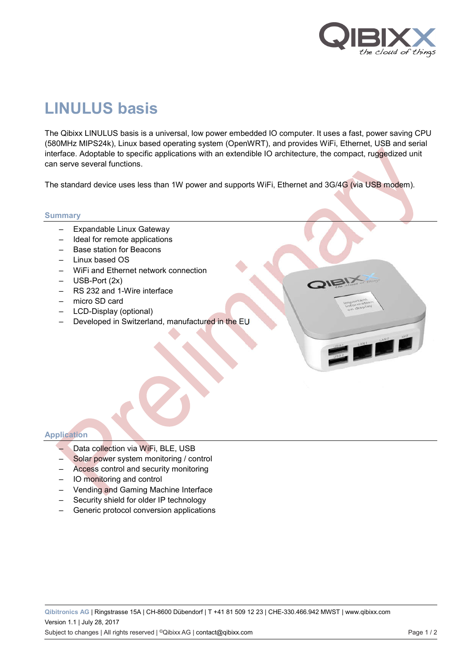

LANT LANE

# **LINULUS basis**

The Qibixx LINULUS basis is a universal, low power embedded IO computer. It uses a fast, power saving CPU (580MHz MIPS24k), Linux based operating system (OpenWRT), and provides WiFi, Ethernet, USB and serial interface. Adoptable to specific applications with an extendible IO architecture, the compact, ruggedized unit can serve several functions.

The standard device uses less than 1W power and supports WiFi, Ethernet and 3G/4G (via USB modem).

#### **Summary**

- Expandable Linux Gateway
- Ideal for remote applications
- Base station for Beacons
- Linux based OS
- WiFi and Ethernet network connection
- USB-Port (2x)
- RS 232 and 1-Wire interface
- micro SD card
- LCD-Display (optional)
- Developed in Switzerland, manufactured in the EU

# **Application**

- Data collection via WiFi, BLE, USB
- Solar power system monitoring / control
- Access control and security monitoring
- IO monitoring and control
- Vending and Gaming Machine Interface
- Security shield for older IP technology
- Generic protocol conversion applications